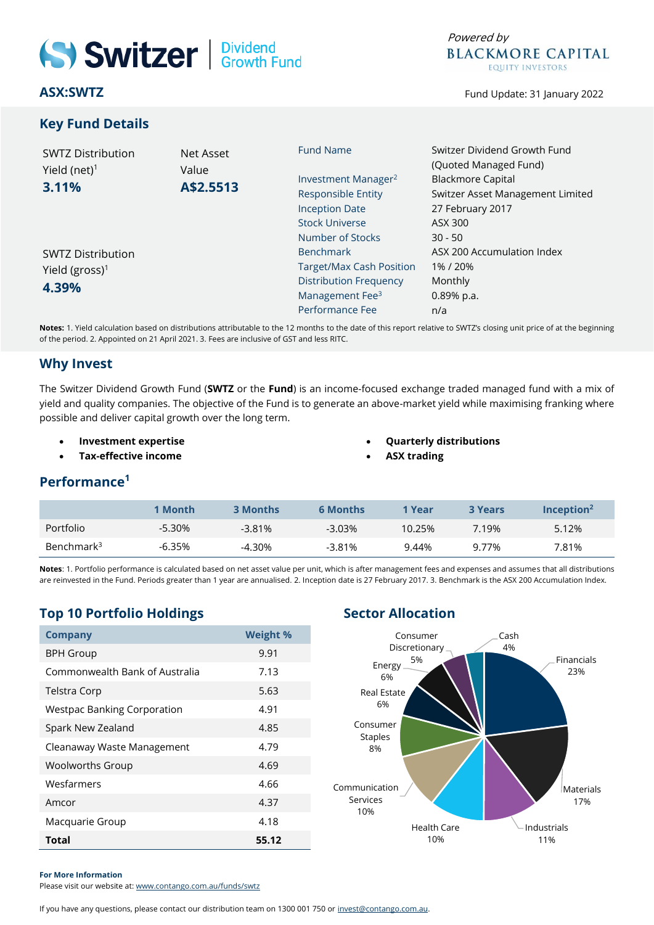# Switzer | Dividend

**ASX:SWTZ**

#### **Key Fund Details**



Fund Update: 31 January 2022

| <b>SWTZ Distribution</b><br>Yield (net) $1$<br>3.11% | Net Asset<br>Value<br>A\$2.5513 | <b>Fund Name</b>                | Switzer Dividend Growth Fund<br>(Quoted Managed Fund)                            |  |
|------------------------------------------------------|---------------------------------|---------------------------------|----------------------------------------------------------------------------------|--|
|                                                      |                                 | Investment Manager <sup>2</sup> | <b>Blackmore Capital</b><br>Switzer Asset Management Limited<br>27 February 2017 |  |
|                                                      |                                 | <b>Responsible Entity</b>       |                                                                                  |  |
|                                                      |                                 | <b>Inception Date</b>           |                                                                                  |  |
|                                                      |                                 | <b>Stock Universe</b>           | ASX 300                                                                          |  |
|                                                      |                                 | Number of Stocks                | $30 - 50$                                                                        |  |
| <b>SWTZ Distribution</b>                             |                                 | <b>Benchmark</b>                | ASX 200 Accumulation Index                                                       |  |
| Yield (gross) <sup>1</sup><br>4.39%                  |                                 | <b>Target/Max Cash Position</b> | 1%/20%                                                                           |  |
|                                                      |                                 | <b>Distribution Frequency</b>   | Monthly                                                                          |  |
|                                                      |                                 | Management Fee <sup>3</sup>     | $0.89%$ p.a.                                                                     |  |
|                                                      |                                 | Performance Fee                 | n/a                                                                              |  |

**Notes:** 1. Yield calculation based on distributions attributable to the 12 months to the date of this report relative to SWTZ's closing unit price of at the beginning of the period. 2. Appointed on 21 April 2021. 3. Fees are inclusive of GST and less RITC.

#### **Why Invest**

The Switzer Dividend Growth Fund (**SWTZ** or the **Fund**) is an income-focused exchange traded managed fund with a mix of yield and quality companies. The objective of the Fund is to generate an above-market yield while maximising franking where possible and deliver capital growth over the long term.

- **Investment expertise**
- **Tax-effective income**
- **Quarterly distributions**
	- **ASX trading**

#### **Performance<sup>1</sup>**

|                        | 1 Month   | 3 Months  | <b>6 Months</b> | 1 Year | <b>3 Years</b> | Incention <sup>2</sup> |
|------------------------|-----------|-----------|-----------------|--------|----------------|------------------------|
| Portfolio              | -5.30%    | $-3.81\%$ | $-3.03\%$       | 10.25% | 7.19%          | 5.12%                  |
| Benchmark <sup>3</sup> | $-6.35\%$ | -4.30%    | $-3.81%$        | 9.44%  | 9 7 7 %        | 7.81%                  |

**Notes**: 1. Portfolio performance is calculated based on net asset value per unit, which is after management fees and expenses and assumes that all distributions are reinvested in the Fund. Periods greater than 1 year are annualised. 2. Inception date is 27 February 2017. 3. Benchmark is the ASX 200 Accumulation Index.

## **Top 10 Portfolio Holdings Sector Allocation**

| <b>Company</b>                     | <b>Weight %</b> |  |  |
|------------------------------------|-----------------|--|--|
| <b>BPH Group</b>                   | 9.91            |  |  |
| Commonwealth Bank of Australia     | 7.13            |  |  |
| Telstra Corp                       | 5.63            |  |  |
| <b>Westpac Banking Corporation</b> | 4.91            |  |  |
| Spark New Zealand                  | 4.85            |  |  |
| Cleanaway Waste Management         | 4.79            |  |  |
| <b>Woolworths Group</b>            | 4.69            |  |  |
| Wesfarmers                         | 4.66            |  |  |
| Amcor                              | 4.37            |  |  |
| Macquarie Group                    | 4.18            |  |  |
| Total                              | 55.12           |  |  |



#### **For More Information**

Please visit our website at: [www.contango.com.au/funds/swtz](http://www.contango.com.au/funds/swtz)

If you have any questions, please contact our distribution team on 1300 001 750 o[r invest@contango.com.au.](mailto:invest@contango.com.au)